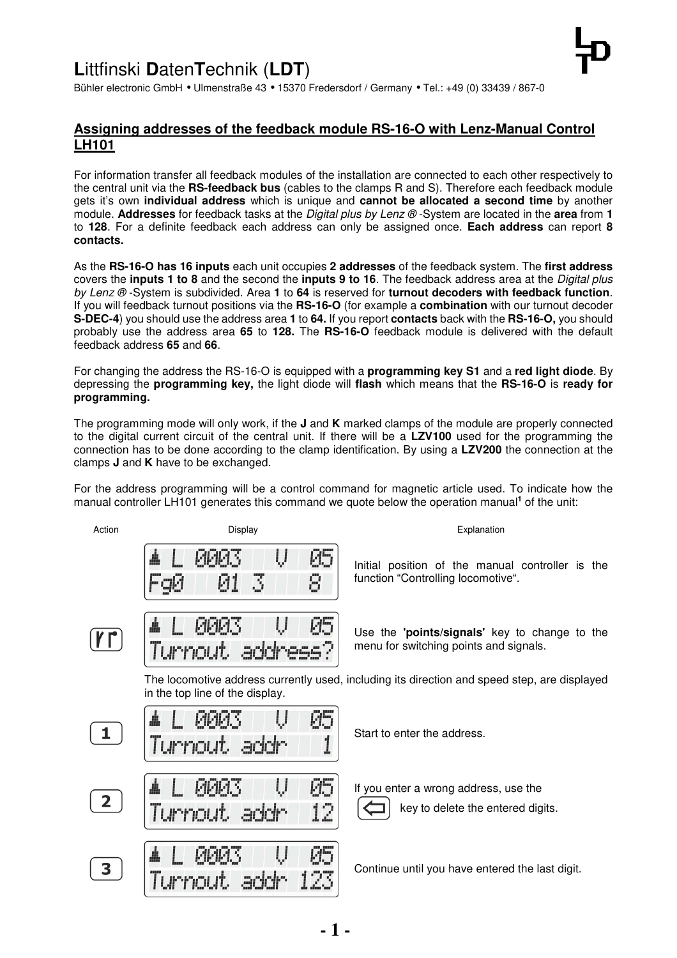# **L**ittfinski **D**aten**T**echnik (**LDT**)



### **Assigning addresses of the feedback module RS-16-O with Lenz-Manual Control LH101**

For information transfer all feedback modules of the installation are connected to each other respectively to the central unit via the **RS-feedback bus** (cables to the clamps R and S). Therefore each feedback module gets it's own **individual address** which is unique and **cannot be allocated a second time** by another module. **Addresses** for feedback tasks at the Digital plus by Lenz ® -System are located in the **area** from **1** to **128**. For a definite feedback each address can only be assigned once. **Each address** can report **8 contacts.**

As the **RS-16-O has 16 inputs** each unit occupies **2 addresses** of the feedback system. The **first address** covers the **inputs 1 to 8** and the second the **inputs 9 to 16**. The feedback address area at the Digital plus by Lenz ® -System is subdivided. Area **1** to **64** is reserved for **turnout decoders with feedback function**. If you will feedback turnout positions via the **RS-16-O** (for example a **combination** with our turnout decoder **S-DEC-4**) you should use the address area **1** to **64.** If you report **contacts** back with the **RS-16-O,** you should probably use the address area **65** to **128.** The **RS-16-O** feedback module is delivered with the default feedback address **65** and **66**.

For changing the address the RS-16-O is equipped with a **programming key S1** and a **red light diode**. By depressing the **programming key,** the light diode will **flash** which means that the **RS-16-O** is **ready for programming.** 

The programming mode will only work, if the **J** and **K** marked clamps of the module are properly connected to the digital current circuit of the central unit. If there will be a **LZV100** used for the programming the connection has to be done according to the clamp identification. By using a **LZV200** the connection at the clamps **J** and **K** have to be exchanged.

For the address programming will be a control command for magnetic article used. To indicate how the manual controller LH101 generates this command we quote below the operation manual<sup>1</sup> of the unit:

| Action       | Display                                 | Explanation                                                                                  |
|--------------|-----------------------------------------|----------------------------------------------------------------------------------------------|
|              | 85<br>Ų<br><b>PRIAS</b><br>Κ<br>8<br>01 | Initial position of the manual controller is the<br>function "Controlling locomotive".       |
|              | <b>BRIAS</b><br>地<br>Tummout.<br>. sele | Use the 'points/signals' key to change to the<br>menu for switching points and signals.      |
|              | in the top line of the display.         | The locomotive address currently used, including its direction and speed step, are displayed |
| $\mathbf{1}$ | Й5<br>MMM S<br>Turnout.                 | Start to enter the address.                                                                  |
| $\mathbf{2}$ | P5<br>Ų<br>FIFIF1.5<br>12<br>Turnout    | If you enter a wrong address, use the<br>key to delete the entered digits.                   |
| 3            | P5<br>IJ<br>MMM S                       | Continue until you have entered the last digit.                                              |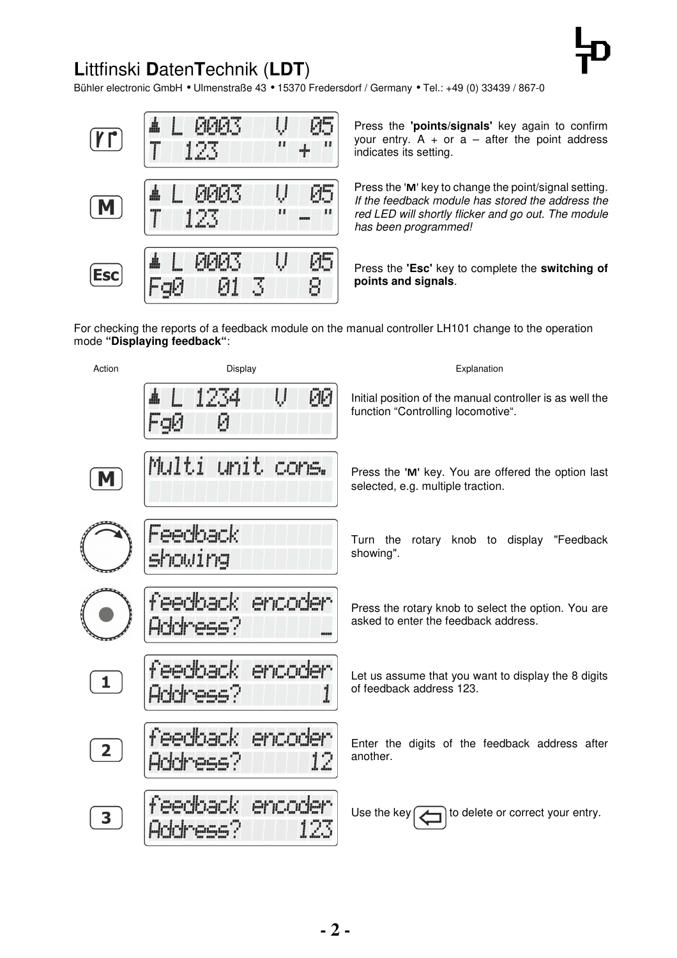# **L**ittfinski **D**aten**T**echnik (**LDT**)

Bühler electronic GmbH • Ulmenstraße 43 • 15370 Fredersdorf / Germany • Tel.: +49 (0) 33439 / 867-0



Press the **'points/signals'** key again to confirm your entry.  $A + or a - after the point address$ indicates its setting.

Press the '**M**' key to change the point/signal setting. If the feedback module has stored the address the red LED will shortly flicker and go out. The module has been programmed!

Press the **'Esc'** key to complete the **switching of points and signals**.

For checking the reports of a feedback module on the manual controller LH101 change to the operation mode **"Displaying feedback"**: